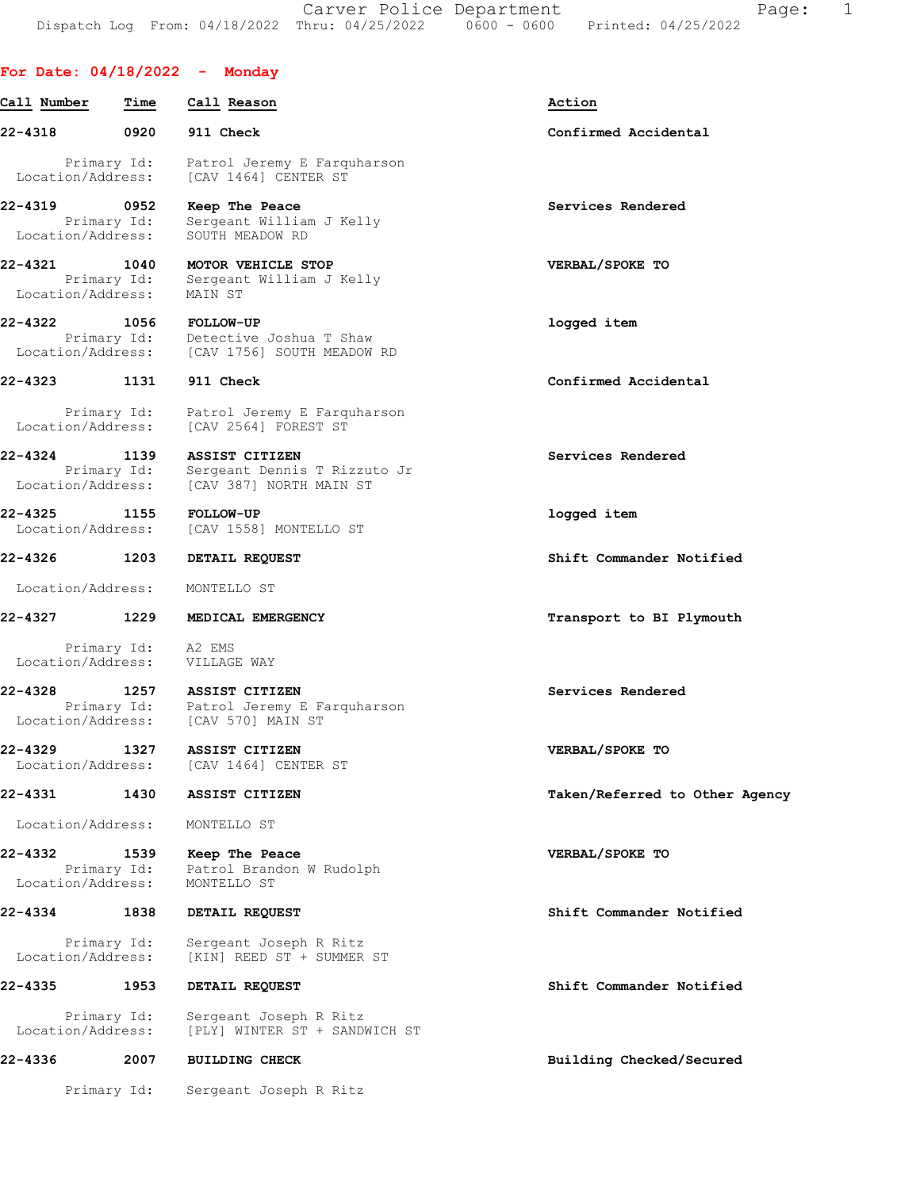Carver Police Department Fage: 1 Dispatch Log From: 04/18/2022 Thru: 04/25/2022 0600 - 0600 Printed: 04/25/2022

# For Date: 04/18/2022 - Monday

| Call Number                      | Time                               | Call Reason                                                                      | Action                         |
|----------------------------------|------------------------------------|----------------------------------------------------------------------------------|--------------------------------|
| 22-4318                          | 0920                               | 911 Check                                                                        | Confirmed Accidental           |
| Location/Address:                | Primary Id:                        | Patrol Jeremy E Farquharson<br>[CAV 1464] CENTER ST                              |                                |
| 22-4319<br>Location/Address:     | $\overline{0}$ 0952<br>Primary Id: | Keep The Peace<br>Sergeant William J Kelly<br>SOUTH MEADOW RD                    | Services Rendered              |
| 22-4321                          | 1040<br>Primary Id:                | MOTOR VEHICLE STOP<br>Sergeant William J Kelly                                   | VERBAL/SPOKE TO                |
| Location/Address:<br>22-4322     | 1056<br>Primary Id:                | MAIN ST<br><b>FOLLOW-UP</b><br>Detective Joshua T Shaw                           | logged item                    |
| Location/Address:                |                                    | [CAV 1756] SOUTH MEADOW RD                                                       |                                |
| 22-4323                          | 1131                               | 911 Check                                                                        | Confirmed Accidental           |
| Location/Address:                | Primary Id:                        | Patrol Jeremy E Farquharson<br>[CAV 2564] FOREST ST                              |                                |
| 22-4324<br>Location/Address:     | 1139<br>Primary Id:                | <b>ASSIST CITIZEN</b><br>Sergeant Dennis T Rizzuto Jr<br>[CAV 387] NORTH MAIN ST | Services Rendered              |
| $22 - 4325$<br>Location/Address: | 1155                               | <b>FOLLOW-UP</b><br>[CAV 1558] MONTELLO ST                                       | logged item                    |
| 22-4326                          | 1203                               | DETAIL REQUEST                                                                   | Shift Commander Notified       |
| Location/Address:                |                                    | MONTELLO ST                                                                      |                                |
| 22-4327                          | 1229                               | MEDICAL EMERGENCY                                                                | Transport to BI Plymouth       |
| Location/Address:                | Primary Id:                        | A2 EMS<br>VILLAGE WAY                                                            |                                |
| 22-4328<br>Location/Address:     | 1257<br>Primary Id:                | ASSIST CITIZEN<br>Patrol Jeremy E Farquharson<br>[CAV 570] MAIN ST               | Services Rendered              |
| 22-4329<br>Location/Address:     | 1327                               | ASSIST CITIZEN<br>[CAV 1464] CENTER ST                                           | VERBAL/SPOKE TO                |
| 22-4331                          | 1430                               | ASSIST CITIZEN                                                                   | Taken/Referred to Other Agency |
| Location/Address:                |                                    | MONTELLO ST                                                                      |                                |
| 22-4332<br>Location/Address:     | 1539<br>Primary Id:                | Keep The Peace<br>Patrol Brandon W Rudolph<br>MONTELLO ST                        | VERBAL/SPOKE TO                |
| 22-4334                          | 1838                               | DETAIL REQUEST                                                                   | Shift Commander Notified       |
| Location/Address:                | Primary Id:                        | Sergeant Joseph R Ritz<br>[KIN] REED ST + SUMMER ST                              |                                |
| 22-4335                          | 1953                               | DETAIL REQUEST                                                                   | Shift Commander Notified       |
| Location/Address:                | Primary Id:                        | Sergeant Joseph R Ritz<br>[PLY] WINTER ST + SANDWICH ST                          |                                |
| 22-4336                          | 2007                               | <b>BUILDING CHECK</b>                                                            | Building Checked/Secured       |
|                                  | Primary Id:                        | Sergeant Joseph R Ritz                                                           |                                |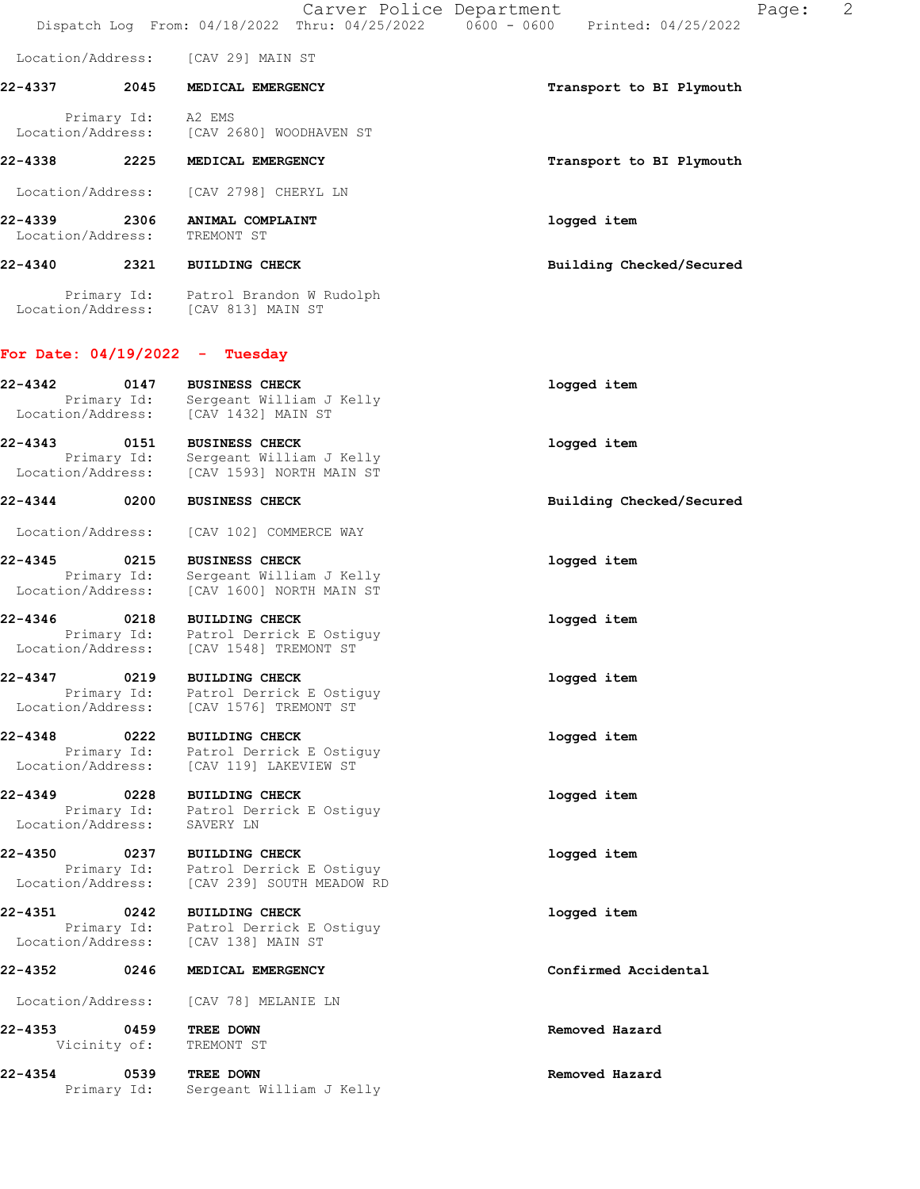Carver Police Department Fage: 2 Dispatch Log From: 04/18/2022 Thru: 04/25/2022 0600 - 0600 Printed: 04/25/2022 Location/Address: [CAV 29] MAIN ST 22-4337 2045 MEDICAL EMERGENCY **1200 CONTACT 1200 MEDICAL** EMERGENCY Primary Id: A2 EMS Location/Address: [CAV 2680] WOODHAVEN ST 22-4338 2225 MEDICAL EMERGENCY **1200 SEARCH 1200 MEDICAL EMERGENCY** 1200 METATROLISM Transport to BI Plymouth Location/Address: [CAV 2798] CHERYL LN 22-4339 2306 ANIMAL COMPLAINT logged item Location/Address: TREMONT ST 22-4340 2321 BUILDING CHECK Building Checked/Secured Primary Id: Patrol Brandon W Rudolph Location/Address: [CAV 813] MAIN ST For Date: 04/19/2022 - Tuesday 22-4342 0147 BUSINESS CHECK logged item Primary Id: Sergeant William J Kelly

Location/Address: [CAV 1432] MAIN ST 22-4343 0151 BUSINESS CHECK logged item Primary Id: Sergeant William J Kelly Location/Address: [CAV 1593] NORTH MAIN ST 22-4344 0200 BUSINESS CHECK Building Checked/Secured Location/Address: [CAV 102] COMMERCE WAY 22-4345 0215 BUSINESS CHECK logged item Primary Id: Sergeant William J Kelly Location/Address: [CAV 1600] NORTH MAIN ST 22-4346 0218 BUILDING CHECK logged item Primary Id: Patrol Derrick E Ostiguy Location/Address: [CAV 1548] TREMONT ST 22-4347 0219 BUILDING CHECK logged item Primary Id: Patrol Derrick E Ostiguy Location/Address: [CAV 1576] TREMONT ST 22-4348 0222 BUILDING CHECK logged item Primary Id: Patrol Derrick E Ostiguy Location/Address: [CAV 119] LAKEVIEW ST 22-4349 0228 BUILDING CHECK **1000000000000000000000000000000000**  Primary Id: Patrol Derrick E Ostiguy Location/Address: SAVERY LN 22-4350 0237 BUILDING CHECK logged item Primary Id: Patrol Derrick E Ostiguy Location/Address: [CAV 239] SOUTH MEADOW RD 22-4351 0242 BUILDING CHECK logged item Primary Id: Patrol Derrick E Ostiguy Location/Address: [CAV 138] MAIN ST 22-4352 0246 MEDICAL EMERGENCY Confirmed Accidental Location/Address: [CAV 78] MELANIE LN 22-4353 0459 TREE DOWN Removed Hazard Vicinity of: TREMONT ST

22-4354 0539 TREE DOWN Removed Hazard

Primary Id: Sergeant William J Kelly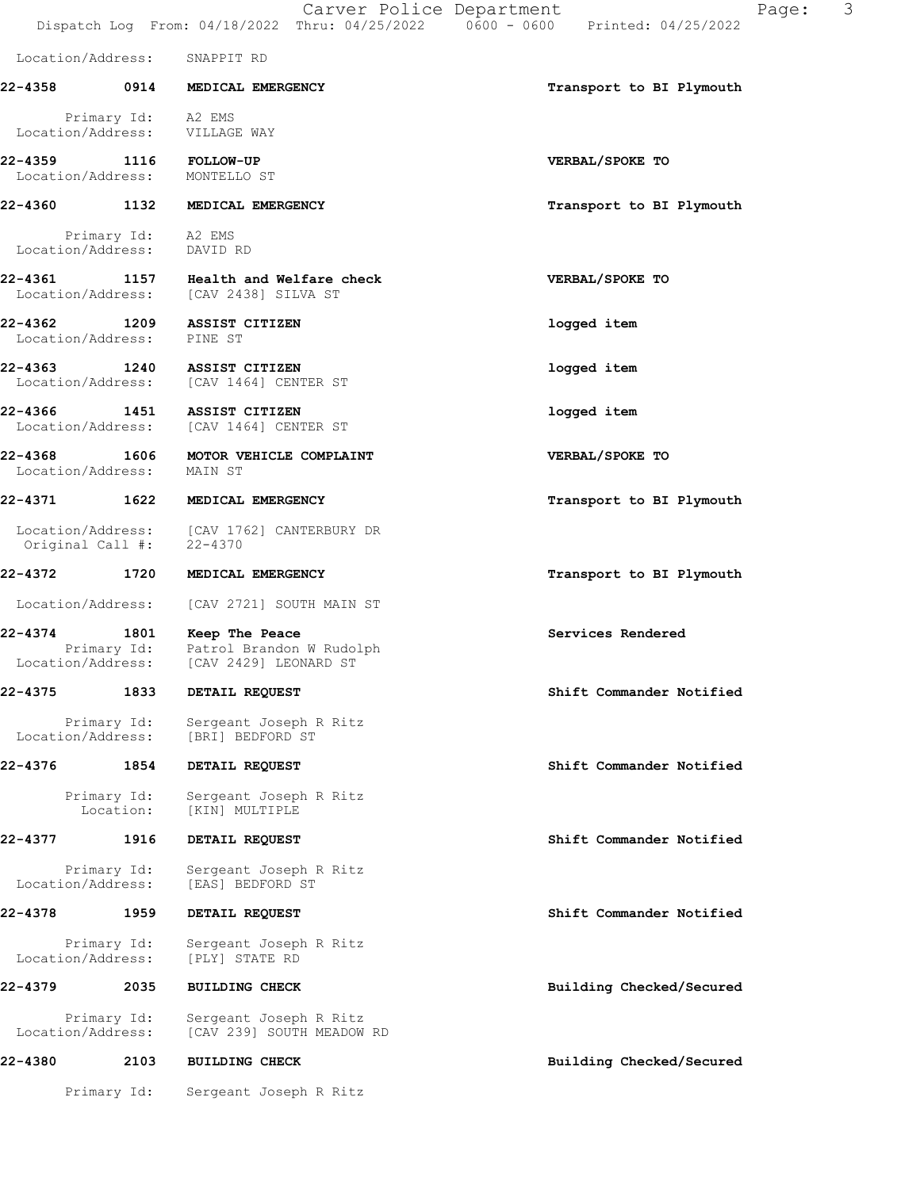Dispatch Log From: 04/18/2022 Thru: 04/25/2022 0600 - 0600 Printed: 04/25/2022 Location/Address: SNAPPIT RD 22-4358 0914 MEDICAL EMERGENCY **1200 CONTROL** Transport to BI Plymouth Primary Id: A2 EMS<br>ion/Address: VILLAGE WAY Location/Address: 22-4359 1116 FOLLOW-UP VERBAL/SPOKE TO Location/Address: MONTELLO ST 22-4360 1132 MEDICAL EMERGENCY Transport to BI Plymouth Primary Id: A2 EMS<br>ion/Address: DAVID RD Location/Address: 22-4361 1157 Health and Welfare check VERBAL/SPOKE TO Location/Address: [CAV 2438] SILVA ST 22-4362 1209 ASSIST CITIZEN logged item Location/Address: PINE ST 22-4363 1240 ASSIST CITIZEN logged item Location/Address: [CAV 1464] CENTER ST 22-4366 1451 ASSIST CITIZEN logged item Location/Address: [CAV 1464] CENTER ST 22-4368 1606 MOTOR VEHICLE COMPLAINT NERBAL/SPOKE TO Location/Address: MAIN ST 22-4371 1622 MEDICAL EMERGENCY Transport to BI Plymouth Location/Address: [CAV 1762] CANTERBURY DR<br>Original Call #: 22-4370 Original Call #: 22-4372 1720 MEDICAL EMERGENCY 1988 1999 Transport to BI Plymouth Location/Address: [CAV 2721] SOUTH MAIN ST 22-4374 1801 Keep The Peace Services Rendered Primary Id: Patrol Brandon W Rudolph<br>ion/Address: [CAV 2429] LEONARD ST Location/Address: 22-4375 1833 DETAIL REQUEST Shift Commander Notified Primary Id: Sergeant Joseph R Ritz<br>Location/Address: [BRI] BEDFORD ST Location/Address: [BRI] BEDFORD ST 22-4376 1854 DETAIL REQUEST Shift Commander Notified Primary Id: Sergeant Joseph R Ritz Location: [KIN] MULTIPLE 22-4377 1916 DETAIL REQUEST Shift Commander Notified Primary Id: Sergeant Joseph R Ritz<br>Location/Address: [EAS] BEDFORD ST [EAS] BEDFORD ST 22-4378 1959 DETAIL REQUEST Shift Commander Notified Primary Id: Sergeant Joseph R Ritz<br>ion/Address: [PLY] STATE RD Location/Address: 22-4379 2035 BUILDING CHECK Building Checked/Secured Primary Id: Sergeant Joseph R Ritz<br>Location/Address: [CAV 239] SOUTH MEADOW [CAV 239] SOUTH MEADOW RD 22-4380 2103 BUILDING CHECK Building Checked/Secured

Primary Id: Sergeant Joseph R Ritz

Carver Police Department Fage: 3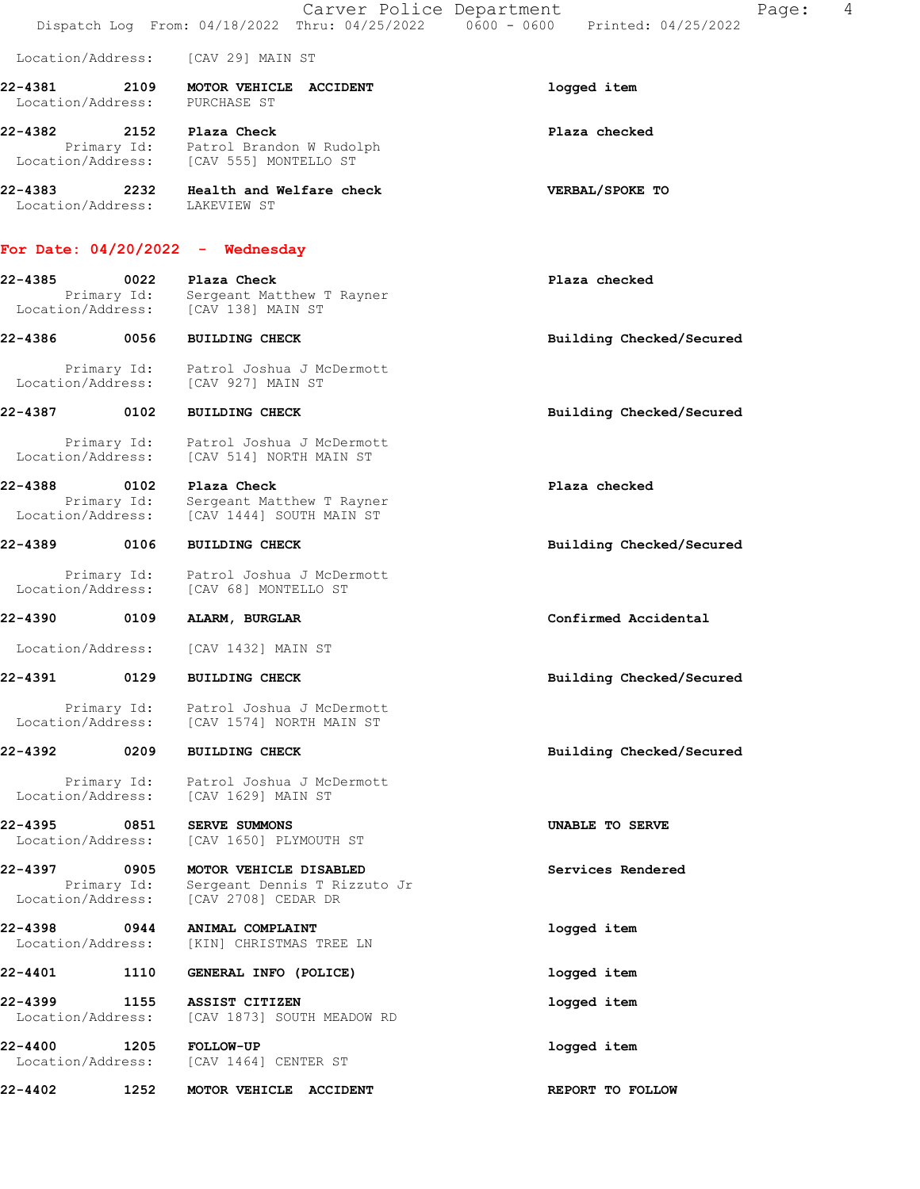|                              |                     | Carver Police Department                                                                            | Page:                    | 4 |
|------------------------------|---------------------|-----------------------------------------------------------------------------------------------------|--------------------------|---|
| Location/Address:            |                     | [CAV 29] MAIN ST                                                                                    |                          |   |
| 22-4381<br>Location/Address: | 2109                | MOTOR VEHICLE ACCIDENT<br>PURCHASE ST                                                               | logged item              |   |
| 22-4382                      |                     | 2152 Plaza Check<br>Primary Id: Patrol Brandon W Rudolph<br>Location/Address: [CAV 555] MONTELLO ST | Plaza checked            |   |
| 22-4383 2232                 |                     | Health and Welfare check<br>Location/Address: LAKEVIEW ST                                           | VERBAL/SPOKE TO          |   |
|                              |                     | For Date: $04/20/2022 -$ Wednesday                                                                  |                          |   |
| 22-4385<br>Location/Address: | 0022<br>Primary Id: | Plaza Check<br>Sergeant Matthew T Rayner<br>[CAV 138] MAIN ST                                       | Plaza checked            |   |
| 22-4386                      | 0056                | <b>BUILDING CHECK</b>                                                                               | Building Checked/Secured |   |
| Location/Address:            | Primary Id:         | Patrol Joshua J McDermott<br>[CAV 927] MAIN ST                                                      |                          |   |
| 22-4387                      | 0102                | <b>BUILDING CHECK</b>                                                                               | Building Checked/Secured |   |
| Location/Address:            | Primary Id:         | Patrol Joshua J McDermott<br>[CAV 514] NORTH MAIN ST                                                |                          |   |
| 22-4388<br>Location/Address: | 0102<br>Primary Id: | Plaza Check<br>Sergeant Matthew T Rayner<br>[CAV 1444] SOUTH MAIN ST                                | Plaza checked            |   |
| 22-4389                      | 0106                | <b>BUILDING CHECK</b>                                                                               | Building Checked/Secured |   |
| Location/Address:            | Primary Id:         | Patrol Joshua J McDermott<br>[CAV 68] MONTELLO ST                                                   |                          |   |
| 22-4390                      | 0109                | ALARM, BURGLAR                                                                                      | Confirmed Accidental     |   |
| Location/Address:            |                     | [CAV 1432] MAIN ST                                                                                  |                          |   |
| 22-4391                      | 0129                | <b>BUILDING CHECK</b>                                                                               | Building Checked/Secured |   |
| Location/Address:            | Primary Id:         | Patrol Joshua J McDermott<br>[CAV 1574] NORTH MAIN ST                                               |                          |   |
| 22-4392                      | 0209                | <b>BUILDING CHECK</b>                                                                               | Building Checked/Secured |   |
| Location/Address:            | Primary Id:         | Patrol Joshua J McDermott<br>[CAV 1629] MAIN ST                                                     |                          |   |
| 22-4395<br>Location/Address: | 0851                | <b>SERVE SUMMONS</b><br>[CAV 1650] PLYMOUTH ST                                                      | UNABLE TO SERVE          |   |
| 22-4397<br>Location/Address: | 0905<br>Primary Id: | MOTOR VEHICLE DISABLED<br>Sergeant Dennis T Rizzuto Jr<br>[CAV 2708] CEDAR DR                       | Services Rendered        |   |
| 22-4398<br>Location/Address: | 0944                | ANIMAL COMPLAINT<br>[KIN] CHRISTMAS TREE LN                                                         | logged item              |   |
| 22-4401                      | 1110                | GENERAL INFO (POLICE)                                                                               | logged item              |   |
| 22-4399<br>Location/Address: | 1155                | ASSIST CITIZEN<br>[CAV 1873] SOUTH MEADOW RD                                                        | logged item              |   |
| 22-4400<br>Location/Address: | 1205                | FOLLOW-UP<br>[CAV 1464] CENTER ST                                                                   | logged item              |   |
| 22-4402                      | 1252                | MOTOR VEHICLE ACCIDENT                                                                              | REPORT TO FOLLOW         |   |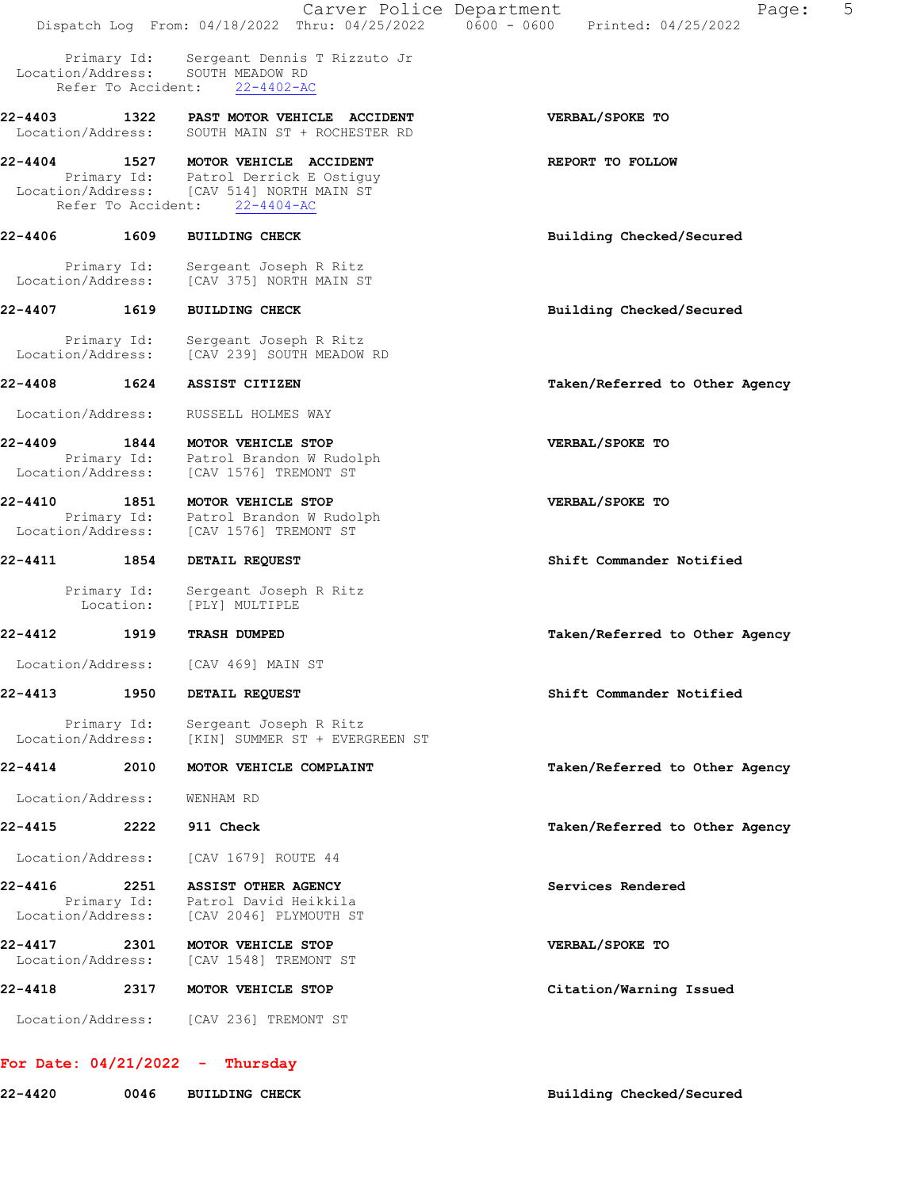|                              |                                   | Carver Police Department                                                                                                                          | 5<br>Page:<br>Dispatch Log From: 04/18/2022 Thru: 04/25/2022   0600 - 0600   Printed: 04/25/2022 |
|------------------------------|-----------------------------------|---------------------------------------------------------------------------------------------------------------------------------------------------|--------------------------------------------------------------------------------------------------|
|                              | Primary Id:<br>Refer To Accident: | Sergeant Dennis T Rizzuto Jr<br>Location/Address: SOUTH MEADOW RD<br>$22 - 4402 - AC$                                                             |                                                                                                  |
| 22-4403                      |                                   | <b>1322 PAST MOTOR VEHICLE ACCIDENT</b><br>Location/Address: SOUTH MAIN ST + ROCHESTER RD                                                         | VERBAL/SPOKE TO                                                                                  |
| 22-4404                      |                                   | 1527 MOTOR VEHICLE ACCIDENT<br>Primary Id: Patrol Derrick E Ostiguy<br>Location/Address: [CAV 514] NORTH MAIN ST<br>Refer To Accident: 22-4404-AC | REPORT TO FOLLOW                                                                                 |
| 22-4406                      | 1609                              | <b>BUILDING CHECK</b>                                                                                                                             | Building Checked/Secured                                                                         |
| Location/Address:            | Primary Id:                       | Sergeant Joseph R Ritz<br>[CAV 375] NORTH MAIN ST                                                                                                 |                                                                                                  |
| $22 - 4407$                  | 1619                              | <b>BUILDING CHECK</b>                                                                                                                             | Building Checked/Secured                                                                         |
| Location/Address:            | Primary Id:                       | Sergeant Joseph R Ritz<br>[CAV 239] SOUTH MEADOW RD                                                                                               |                                                                                                  |
| 22-4408                      | 1624                              | ASSIST CITIZEN                                                                                                                                    | Taken/Referred to Other Agency                                                                   |
| Location/Address:            |                                   | RUSSELL HOLMES WAY                                                                                                                                |                                                                                                  |
| 22-4409<br>Location/Address: | 1844                              | MOTOR VEHICLE STOP<br>Primary Id: Patrol Brandon W Rudolph<br>[CAV 1576] TREMONT ST                                                               | VERBAL/SPOKE TO                                                                                  |
| 22-4410<br>Location/Address: | 1851<br>Primary Id:               | MOTOR VEHICLE STOP<br>Patrol Brandon W Rudolph<br>[CAV 1576] TREMONT ST                                                                           | VERBAL/SPOKE TO                                                                                  |
| 22-4411                      | 1854                              | DETAIL REQUEST                                                                                                                                    | Shift Commander Notified                                                                         |
|                              | Primary Id:<br>Location:          | Sergeant Joseph R Ritz<br>[PLY] MULTIPLE                                                                                                          |                                                                                                  |
| 22-4412                      | 1919                              | <b>TRASH DUMPED</b>                                                                                                                               | Taken/Referred to Other Agency                                                                   |
| Location/Address:            |                                   | [CAV 469] MAIN ST                                                                                                                                 |                                                                                                  |
| 22-4413                      | 1950                              | DETAIL REQUEST                                                                                                                                    | Shift Commander Notified                                                                         |
| Location/Address:            | Primary Id:                       | Sergeant Joseph R Ritz<br>[KIN] SUMMER ST + EVERGREEN ST                                                                                          |                                                                                                  |
| 22-4414                      | 2010                              | MOTOR VEHICLE COMPLAINT                                                                                                                           | Taken/Referred to Other Agency                                                                   |
| Location/Address:            |                                   | WENHAM RD                                                                                                                                         |                                                                                                  |
| 22-4415                      | 2222                              | 911 Check                                                                                                                                         | Taken/Referred to Other Agency                                                                   |
| Location/Address:            |                                   | [CAV 1679] ROUTE 44                                                                                                                               |                                                                                                  |
| 22-4416<br>Location/Address: | 2251<br>Primary Id:               | <b>ASSIST OTHER AGENCY</b><br>Patrol David Heikkila<br>[CAV 2046] PLYMOUTH ST                                                                     | Services Rendered                                                                                |
| 22-4417<br>Location/Address: | 2301                              | MOTOR VEHICLE STOP<br>[CAV 1548] TREMONT ST                                                                                                       | VERBAL/SPOKE TO                                                                                  |
| 22-4418                      | 2317                              | MOTOR VEHICLE STOP                                                                                                                                | Citation/Warning Issued                                                                          |
| Location/Address:            |                                   | [CAV 236] TREMONT ST                                                                                                                              |                                                                                                  |

# For Date: 04/21/2022 - Thursday

22-4420 0046 BUILDING CHECK Building Checked/Secured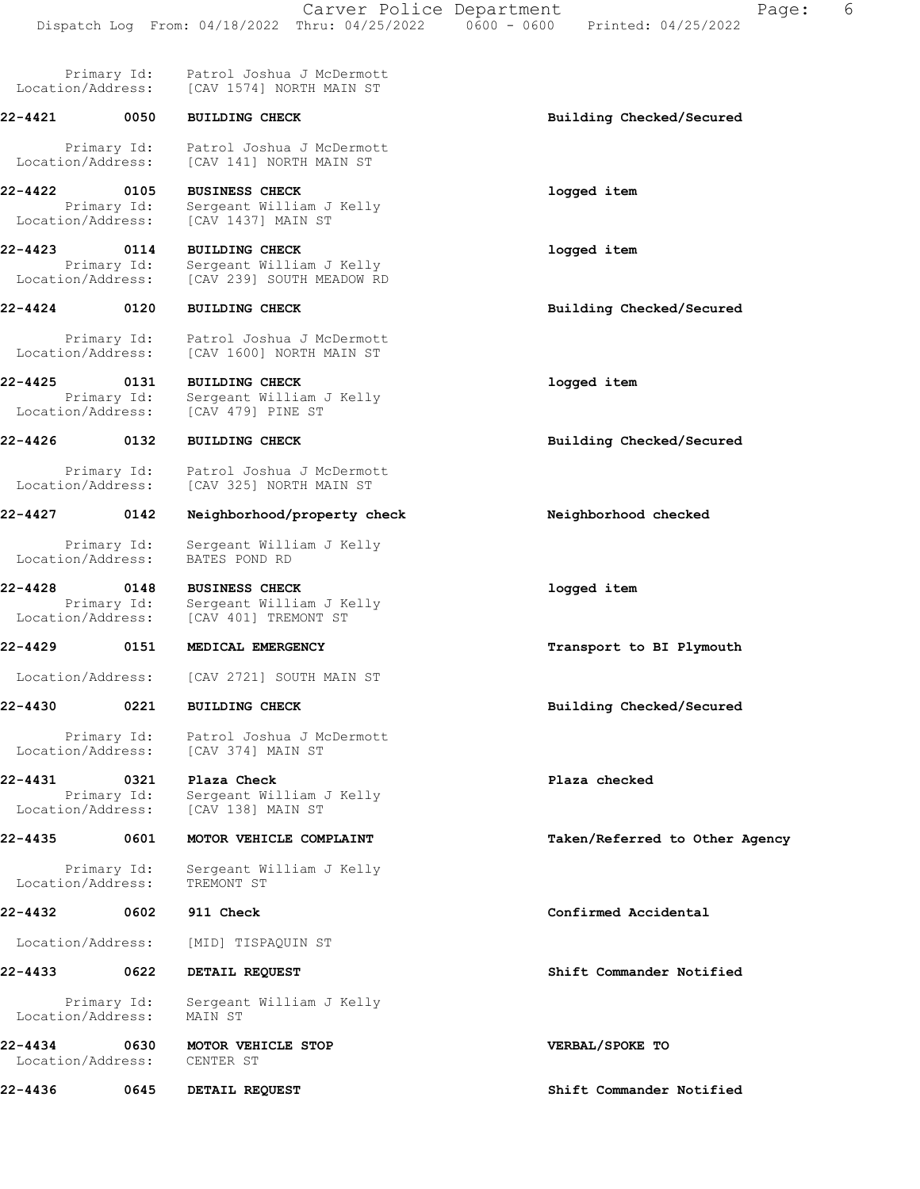| Location/Address:                 | Primary Id:         | Patrol Joshua J McDermott<br>[CAV 1574] NORTH MAIN ST                          |                                |
|-----------------------------------|---------------------|--------------------------------------------------------------------------------|--------------------------------|
| 22-4421                           | 0050                | <b>BUILDING CHECK</b>                                                          | Building Checked/Secured       |
| Location/Address:                 | Primary Id:         | Patrol Joshua J McDermott<br>[CAV 141] NORTH MAIN ST                           |                                |
| 22-4422<br>Location/Address:      | 0105<br>Primary Id: | <b>BUSINESS CHECK</b><br>Sergeant William J Kelly<br>[CAV 1437] MAIN ST        | logged item                    |
| 22-4423 0114<br>Location/Address: | Primary Id:         | <b>BUILDING CHECK</b><br>Sergeant William J Kelly<br>[CAV 239] SOUTH MEADOW RD | logged item                    |
| 22-4424 0120                      |                     | <b>BUILDING CHECK</b>                                                          | Building Checked/Secured       |
| Location/Address:                 | Primary Id:         | Patrol Joshua J McDermott<br>[CAV 1600] NORTH MAIN ST                          |                                |
| 22-4425<br>Location/Address:      | 0131<br>Primary Id: | <b>BUILDING CHECK</b><br>Sergeant William J Kelly<br>[CAV 479] PINE ST         | logged item                    |
| $22 - 4426$                       | 0132                | <b>BUILDING CHECK</b>                                                          | Building Checked/Secured       |
| Location/Address:                 | Primary Id:         | Patrol Joshua J McDermott<br>[CAV 325] NORTH MAIN ST                           |                                |
| 22-4427                           | 0142                | Neighborhood/property check                                                    | Neighborhood checked           |
| Location/Address:                 | Primary Id:         | Sergeant William J Kelly<br>BATES POND RD                                      |                                |
| $22 - 4428$<br>Location/Address:  | 0148<br>Primary Id: | <b>BUSINESS CHECK</b><br>Sergeant William J Kelly<br>[CAV 401] TREMONT ST      | logged item                    |
| $22 - 4429$                       | 0151                | MEDICAL EMERGENCY                                                              | Transport to BI Plymouth       |
| Location/Address:                 |                     | [CAV 2721] SOUTH MAIN ST                                                       |                                |
| $22 - 4430$                       | 0221                | <b>BUILDING CHECK</b>                                                          | Building Checked/Secured       |
| Location/Address:                 |                     | Primary Id: Patrol Joshua J McDermott<br>[CAV 374] MAIN ST                     |                                |
| 22-4431<br>Location/Address:      | 0321<br>Primary Id: | Plaza Check<br>Sergeant William J Kelly<br>[CAV 138] MAIN ST                   | Plaza checked                  |
| 22-4435                           | 0601                | MOTOR VEHICLE COMPLAINT                                                        | Taken/Referred to Other Agency |
| Location/Address:                 | Primary Id:         | Sergeant William J Kelly<br>TREMONT ST                                         |                                |
| 22-4432                           | 0602                | 911 Check                                                                      | Confirmed Accidental           |
| Location/Address:                 |                     | [MID] TISPAQUIN ST                                                             |                                |
| 22-4433                           | 0622                | DETAIL REQUEST                                                                 | Shift Commander Notified       |
| Location/Address:                 | Primary Id:         | Sergeant William J Kelly<br>MAIN ST                                            |                                |
| 22-4434<br>Location/Address:      | 0630                | MOTOR VEHICLE STOP<br>CENTER ST                                                | VERBAL/SPOKE TO                |
| 22-4436                           | 0645                | DETAIL REQUEST                                                                 | Shift Commander Notified       |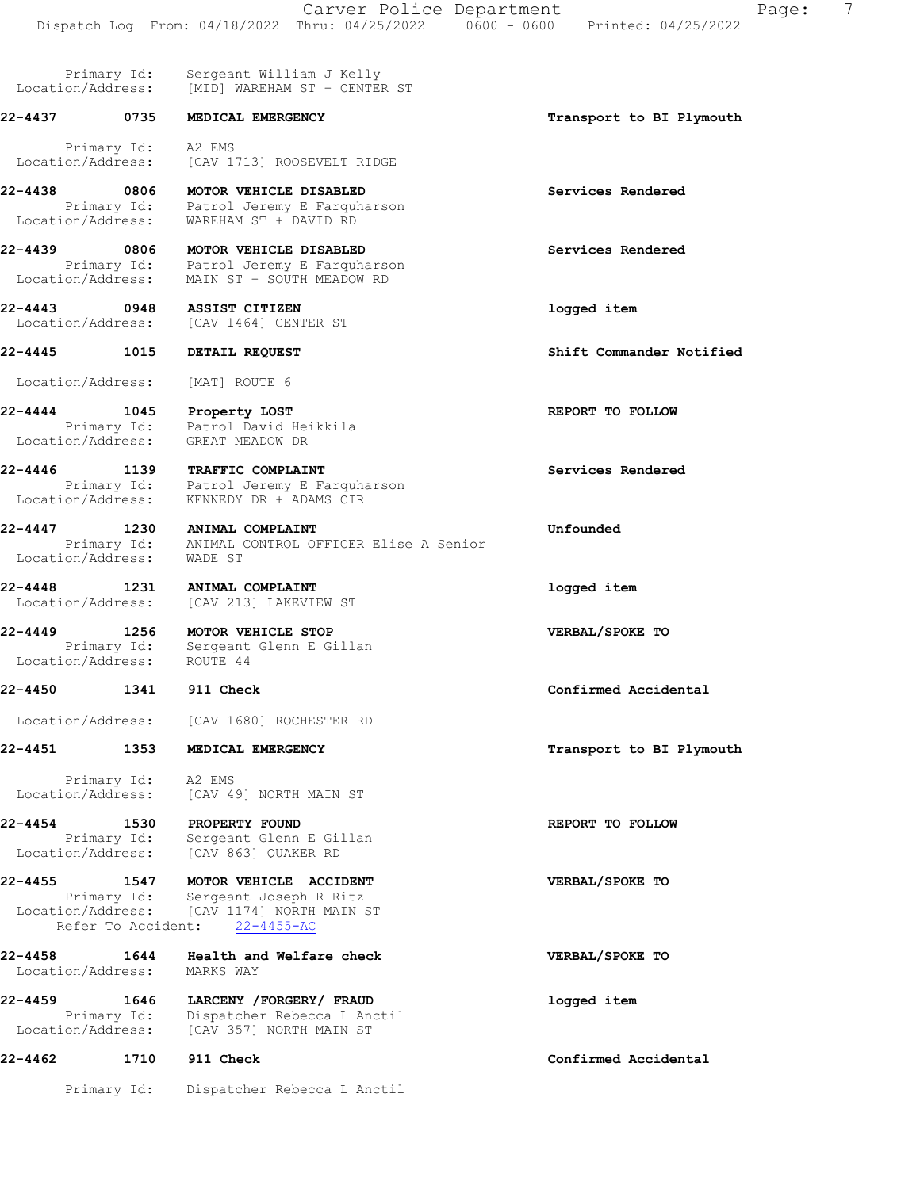Primary Id: Sergeant William J Kelly Location/Address: [MID] WAREHAM ST + CENTER ST

Primary Id: A2 EMS

 Primary Id: Patrol Jeremy E Farquharson Location/Address: WAREHAM ST + DAVID RD

 Primary Id: Patrol Jeremy E Farquharson Location/Address: MAIN ST + SOUTH MEADOW RD

Primary Id: Patrol David Heikkila

Location/Address: [CAV 1680] ROCHESTER RD

 Primary Id: A2 EMS Location/Address: [CAV 49] NORTH MAIN ST

 Primary Id: Sergeant Glenn E Gillan Location/Address: [CAV 863] QUAKER RD

 Primary Id: Sergeant Joseph R Ritz Location/Address: [CAV 1174] NORTH MAIN ST Refer To Accident: 22-4455-AC

Location/Address: MARKS WAY

 Primary Id: Dispatcher Rebecca L Anctil Location/Address: [CAV 357] NORTH MAIN ST

# 22-4462 1710 911 Check Confirmed Accidental

Primary Id: Dispatcher Rebecca L Anctil

22-4437 0735 MEDICAL EMERGENCY Transport to BI Plymouth Location/Address: [CAV 1713] ROOSEVELT RIDGE 22-4438 0806 MOTOR VEHICLE DISABLED Services Rendered 22-4439 0806 MOTOR VEHICLE DISABLED Services Rendered 22-4443 0948 ASSIST CITIZEN logged item Location/Address: [CAV 1464] CENTER ST 22-4445 1015 DETAIL REQUEST Shift Commander Notified Location/Address: [MAT] ROUTE 6 22-4444 1045 Property LOST REPORT TO FOLLOW Location/Address: GREAT MEADOW DR 22-4446 1139 TRAFFIC COMPLAINT Services Rendered Primary Id: Patrol Jeremy E Farquharson Location/Address: KENNEDY DR + ADAMS CIR 22-4447 1230 ANIMAL COMPLAINT Unfounded Primary Id: ANIMAL CONTROL OFFICER Elise A Senior Location/Address: WADE ST 22-4448 1231 ANIMAL COMPLAINT logged item Location/Address: [CAV 213] LAKEVIEW ST 22-4449 1256 MOTOR VEHICLE STOP VERBAL/SPOKE TO Primary Id: Sergeant Glenn E Gillan Location/Address: ROUTE 44 22-4450 1341 911 Check Confirmed Accidental 22-4451 1353 MEDICAL EMERGENCY **1253** 1353 MEDICAL EMERGENCY 22-4454 1530 PROPERTY FOUND 120 REPORT TO FOLLOW 22-4455 1547 MOTOR VEHICLE ACCIDENT VERBAL/SPOKE TO 22-4458 1644 Health and Welfare check VERBAL/SPOKE TO 22-4459 1646 LARCENY /FORGERY/ FRAUD logged item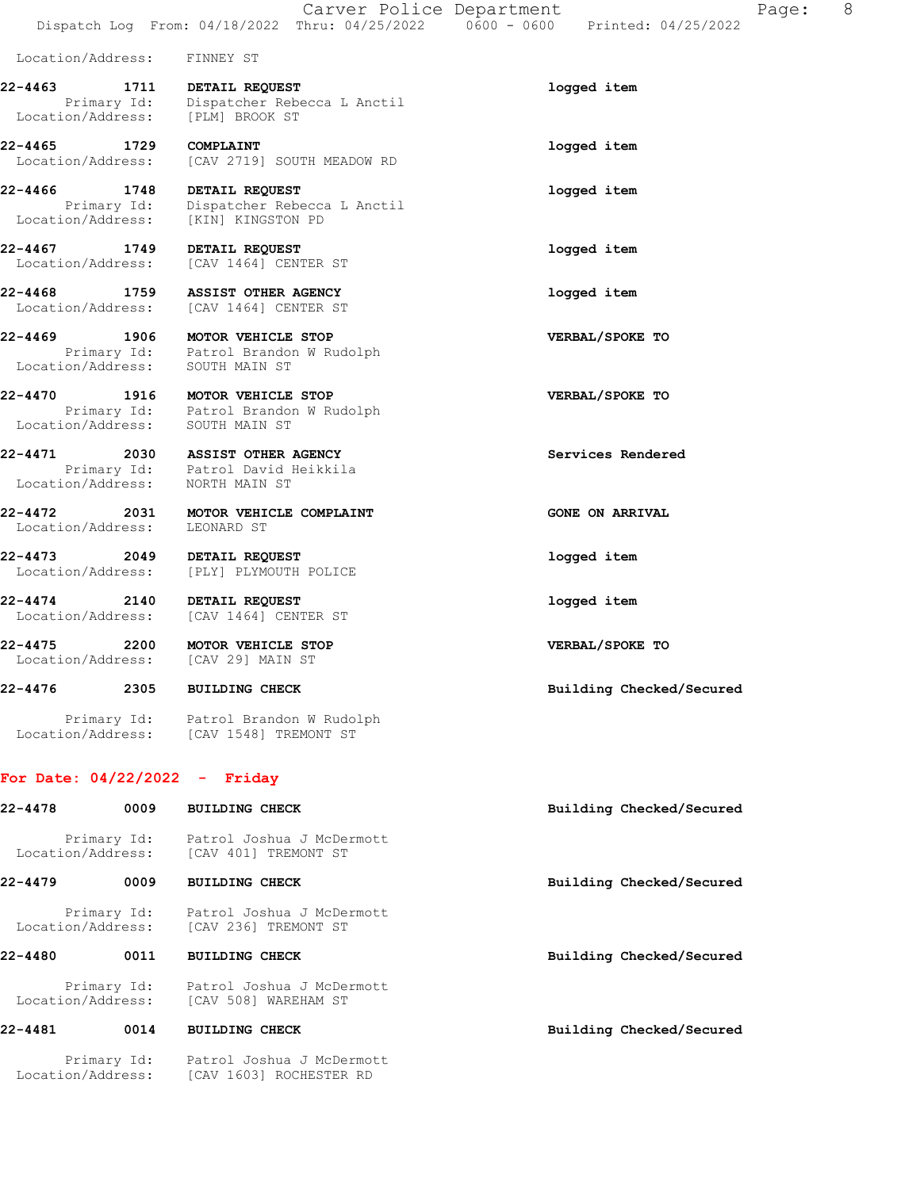| Location/Address: | FINNEY ST |  |
|-------------------|-----------|--|
|-------------------|-----------|--|

22-4463 1711 DETAIL REQUEST logged item Primary Id: Dispatcher Rebecca L Anctil Location/Address: [PLM] BROOK ST

22-4465 1729 COMPLAINT logged item Location/Address: [CAV 2719] SOUTH MEADOW RD

22-4466 1748 DETAIL REQUEST logged item Primary Id: Dispatcher Rebecca L Anctil Location/Address: [KIN] KINGSTON PD

22-4467 1749 DETAIL REQUEST logged item Location/Address: [CAV 1464] CENTER ST

22-4468 1759 ASSIST OTHER AGENCY logged item Location/Address: [CAV 1464] CENTER ST

22-4469 1906 MOTOR VEHICLE STOP VERBAL/SPOKE TO Primary Id: Patrol Brandon W Rudolph Location/Address: SOUTH MAIN ST

22-4470 1916 MOTOR VEHICLE STOP VERBAL/SPOKE TO Primary Id: Patrol Brandon W Rudolph

Location/Address: SOUTH MAIN ST

22-4471 2030 ASSIST OTHER AGENCY **Services Rendered**  Primary Id: Patrol David Heikkila Location/Address: NORTH MAIN ST

22-4472 2031 MOTOR VEHICLE COMPLAINT CONSTRUCTED ON ARRIVAL Location/Address: LEONARD ST

22-4473 2049 DETAIL REQUEST logged item Location/Address: [PLY] PLYMOUTH POLICE

22-4474 2140 DETAIL REQUEST logged item Location/Address: [CAV 1464] CENTER ST

22-4475 2200 MOTOR VEHICLE STOP VERBAL/SPOKE TO Location/Address: [CAV 29] MAIN ST

22-4476 2305 BUILDING CHECK Building Checked/Secured

 Primary Id: Patrol Brandon W Rudolph Location/Address: [CAV 1548] TREMONT ST

Location/Address: [CAV 1603] ROCHESTER RD

### For Date: 04/22/2022 - Friday

| 22-4478           | 0009 | <b>BUILDING CHECK</b>                                         | Building Checked/Secured |
|-------------------|------|---------------------------------------------------------------|--------------------------|
| Location/Address: |      | Primary Id: Patrol Joshua J McDermott<br>[CAV 401] TREMONT ST |                          |
| 22-4479           | 0009 | <b>BUILDING CHECK</b>                                         | Building Checked/Secured |
| Location/Address: |      | Primary Id: Patrol Joshua J McDermott<br>[CAV 236] TREMONT ST |                          |
| 22-4480           | 0011 | <b>BUILDING CHECK</b>                                         | Building Checked/Secured |
| Location/Address: |      | Primary Id: Patrol Joshua J McDermott<br>[CAV 508] WAREHAM ST |                          |
| 22-4481           | 0014 | <b>BUILDING CHECK</b>                                         | Building Checked/Secured |
|                   |      | Primary Id: Patrol Joshua J McDermott                         |                          |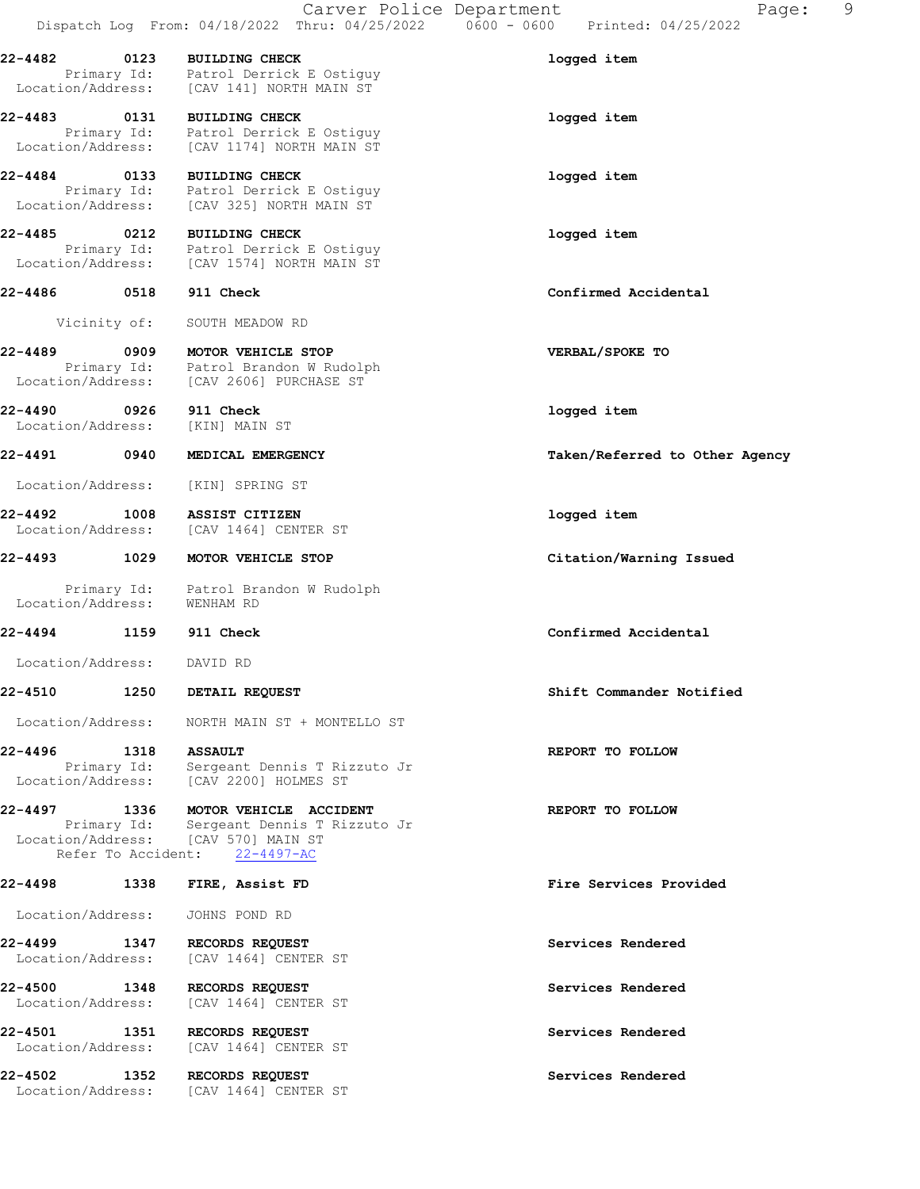|                              |                     | Carver Police Department                                                                                                                   | 9<br>Page:                                                                                   |
|------------------------------|---------------------|--------------------------------------------------------------------------------------------------------------------------------------------|----------------------------------------------------------------------------------------------|
|                              |                     |                                                                                                                                            | Dispatch Log From: 04/18/2022 Thru: 04/25/2022        0600 - 0600        Printed: 04/25/2022 |
| 22-4482                      | 0123                | <b>BUILDING CHECK</b><br>Primary Id: Patrol Derrick E Ostiguy<br>Location/Address: [CAV 141] NORTH MAIN ST                                 | logged item                                                                                  |
| 22-4483 0131                 |                     | <b>BUILDING CHECK</b>                                                                                                                      | logged item                                                                                  |
|                              |                     | Primary Id: Patrol Derrick E Ostiguy<br>Location/Address: [CAV 1174] NORTH MAIN ST                                                         |                                                                                              |
| 22-4484 0133                 |                     | <b>BUILDING CHECK</b><br>Primary Id: Patrol Derrick E Ostiguy<br>Location/Address: [CAV 325] NORTH MAIN ST                                 | logged item                                                                                  |
| 22-4485                      | 0212                | <b>BUILDING CHECK</b>                                                                                                                      | logged item                                                                                  |
|                              |                     | Primary Id: Patrol Derrick E Ostiguy<br>Location/Address: [CAV 1574] NORTH MAIN ST                                                         |                                                                                              |
| 22-4486                      | 0518                | 911 Check                                                                                                                                  | Confirmed Accidental                                                                         |
|                              | Vicinity of:        | SOUTH MEADOW RD                                                                                                                            |                                                                                              |
| 22-4489                      | 0909                | MOTOR VEHICLE STOP<br>Primary Id: Patrol Brandon W Rudolph<br>Location/Address: [CAV 2606] PURCHASE ST                                     | VERBAL/SPOKE TO                                                                              |
| 22-4490<br>Location/Address: | $\overline{0926}$   | 911 Check<br>[KIN] MAIN ST                                                                                                                 | logged item                                                                                  |
| 22-4491                      | 0940                | MEDICAL EMERGENCY                                                                                                                          | Taken/Referred to Other Agency                                                               |
| Location/Address:            |                     | [KIN] SPRING ST                                                                                                                            |                                                                                              |
| 22-4492<br>Location/Address: | 1008                | ASSIST CITIZEN<br>[CAV 1464] CENTER ST                                                                                                     | logged item                                                                                  |
| 22-4493 1029                 |                     | MOTOR VEHICLE STOP                                                                                                                         | Citation/Warning Issued                                                                      |
| Location/Address:            | Primary Id:         | Patrol Brandon W Rudolph<br>WENHAM RD                                                                                                      |                                                                                              |
| 22-4494                      | 1159                | 911 Check                                                                                                                                  | Confirmed Accidental                                                                         |
| Location/Address:            |                     | DAVID RD                                                                                                                                   |                                                                                              |
| 22-4510                      | 1250                | DETAIL REQUEST                                                                                                                             | Shift Commander Notified                                                                     |
| Location/Address:            |                     | NORTH MAIN ST + MONTELLO ST                                                                                                                |                                                                                              |
| 22-4496                      | 1318<br>Primary Id: | <b>ASSAULT</b><br>Sergeant Dennis T Rizzuto Jr<br>Location/Address: [CAV 2200] HOLMES ST                                                   | REPORT TO FOLLOW                                                                             |
| 22-4497 1336                 |                     | MOTOR VEHICLE ACCIDENT<br>Primary Id: Sergeant Dennis T Rizzuto Jr<br>Location/Address: [CAV 570] MAIN ST<br>Refer To Accident: 22-4497-AC | REPORT TO FOLLOW                                                                             |
| 22-4498                      | 1338                | FIRE, Assist FD                                                                                                                            | Fire Services Provided                                                                       |
| Location/Address:            |                     | JOHNS POND RD                                                                                                                              |                                                                                              |
| 22-4499<br>Location/Address: | 1347                | RECORDS REQUEST<br>[CAV 1464] CENTER ST                                                                                                    | Services Rendered                                                                            |
| 22-4500<br>Location/Address: | 1348                | RECORDS REQUEST<br>[CAV 1464] CENTER ST                                                                                                    | Services Rendered                                                                            |
| 22-4501<br>Location/Address: | 1351                | RECORDS REQUEST<br>[CAV 1464] CENTER ST                                                                                                    | Services Rendered                                                                            |
| 22-4502<br>Location/Address: | 1352                | RECORDS REQUEST<br>[CAV 1464] CENTER ST                                                                                                    | Services Rendered                                                                            |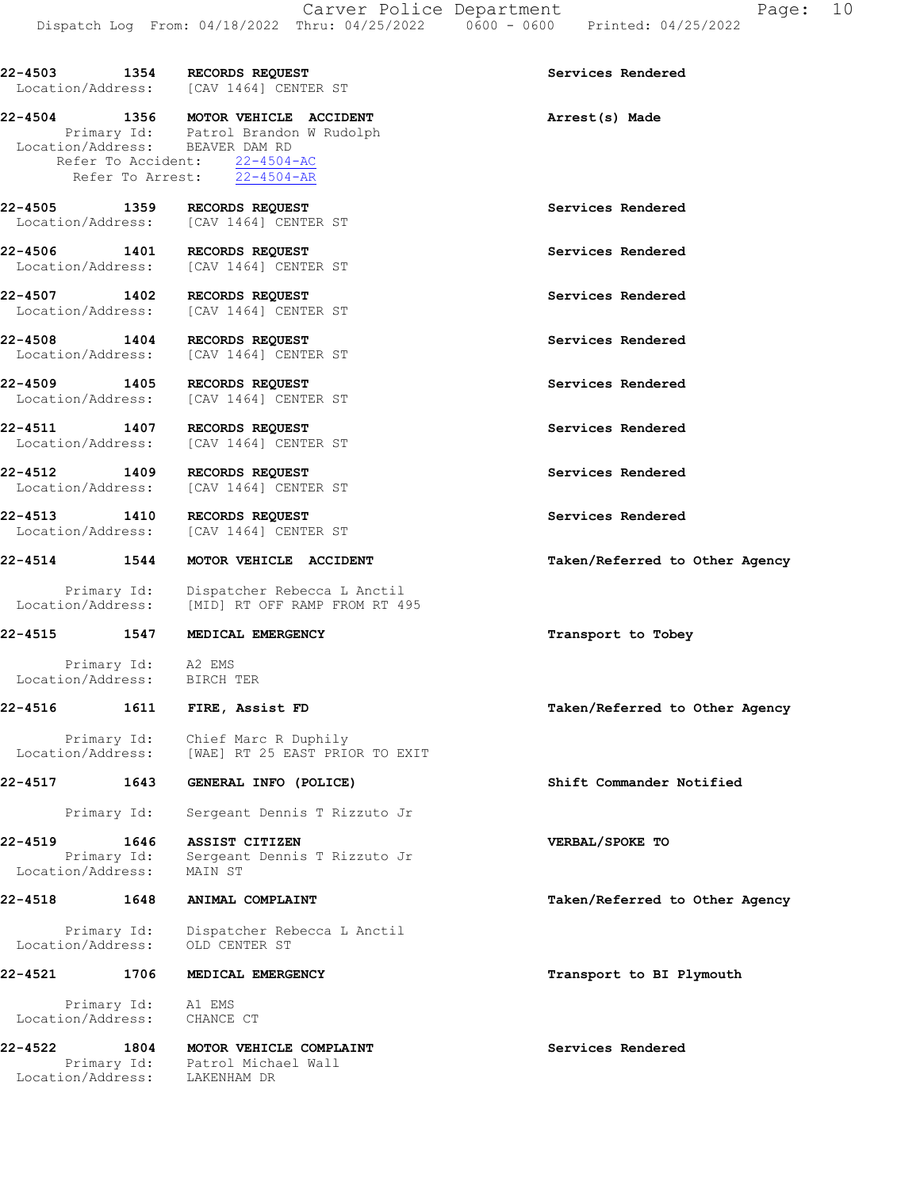|                                   |                     | 22-4503 1354 RECORDS REQUEST<br>Location/Address: [CAV 1464] CENTER ST                                                                                                           | Services Rendered              |
|-----------------------------------|---------------------|----------------------------------------------------------------------------------------------------------------------------------------------------------------------------------|--------------------------------|
|                                   |                     | 22-4504 1356 MOTOR VEHICLE ACCIDENT<br>Primary Id: Patrol Brandon W Rudolph<br>Location/Address: BEAVER DAM RD<br>Refer To Accident: 22-4504-AC<br>Refer To Arrest: $22-4504-AR$ | Arrest(s) Made                 |
|                                   |                     | 22-4505 1359 RECORDS REQUEST<br>Location/Address: [CAV 1464] CENTER ST                                                                                                           | Services Rendered              |
|                                   |                     | 22-4506 1401 RECORDS REQUEST<br>Location/Address: [CAV 1464] CENTER ST                                                                                                           | Services Rendered              |
| Location/Address:                 |                     | 22-4507 1402 RECORDS REQUEST<br>[CAV 1464] CENTER ST                                                                                                                             | Services Rendered              |
| 22-4508 1404                      |                     | <b>RECORDS REQUEST</b><br>Location/Address: [CAV 1464] CENTER ST                                                                                                                 | Services Rendered              |
| 22-4509 1405<br>Location/Address: |                     | RECORDS REQUEST<br>[CAV 1464] CENTER ST                                                                                                                                          | Services Rendered              |
| 22-4511 1407                      |                     | RECORDS REQUEST<br>Location/Address: [CAV 1464] CENTER ST                                                                                                                        | Services Rendered              |
| 22-4512 1409                      |                     | RECORDS REQUEST<br>Location/Address: [CAV 1464] CENTER ST                                                                                                                        | Services Rendered              |
| 22-4513 1410                      |                     | RECORDS REQUEST<br>Location/Address: [CAV 1464] CENTER ST                                                                                                                        | Services Rendered              |
| 22-4514 1544                      |                     | MOTOR VEHICLE ACCIDENT                                                                                                                                                           | Taken/Referred to Other Agency |
|                                   | Primary Id:         | Dispatcher Rebecca L Anctil<br>Location/Address: [MID] RT OFF RAMP FROM RT 495                                                                                                   |                                |
|                                   |                     | 22-4515 1547 MEDICAL EMERGENCY                                                                                                                                                   | Transport to Tobey             |
|                                   | Primary Id: A2 EMS  | Location/Address: BIRCH TER                                                                                                                                                      |                                |
|                                   |                     | 22-4516 1611 FIRE, Assist FD                                                                                                                                                     | Taken/Referred to Other Agency |
| Location/Address:                 | Primary Id:         | Chief Marc R Duphily<br>[WAE] RT 25 EAST PRIOR TO EXIT                                                                                                                           |                                |
| 22-4517                           | 1643                | GENERAL INFO (POLICE)                                                                                                                                                            | Shift Commander Notified       |
|                                   | Primary Id:         | Sergeant Dennis T Rizzuto Jr                                                                                                                                                     |                                |
| 22-4519<br>Location/Address:      | 1646<br>Primary Id: | ASSIST CITIZEN<br>Sergeant Dennis T Rizzuto Jr<br>MAIN ST                                                                                                                        | VERBAL/SPOKE TO                |
| 22-4518                           | 1648                | ANIMAL COMPLAINT                                                                                                                                                                 | Taken/Referred to Other Agency |
| Location/Address:                 | Primary Id:         | Dispatcher Rebecca L Anctil<br>OLD CENTER ST                                                                                                                                     |                                |
| 22-4521                           | 1706                | MEDICAL EMERGENCY                                                                                                                                                                | Transport to BI Plymouth       |
|                                   | Primary Id: Al EMS  | Location/Address: CHANCE CT                                                                                                                                                      |                                |
| 22-4522                           | 1804                | MOTOR VEHICLE COMPLAINT<br>Primary Id: Patrol Michael Wall<br>Location/Address: LAKENHAM DR                                                                                      | Services Rendered              |
|                                   |                     |                                                                                                                                                                                  |                                |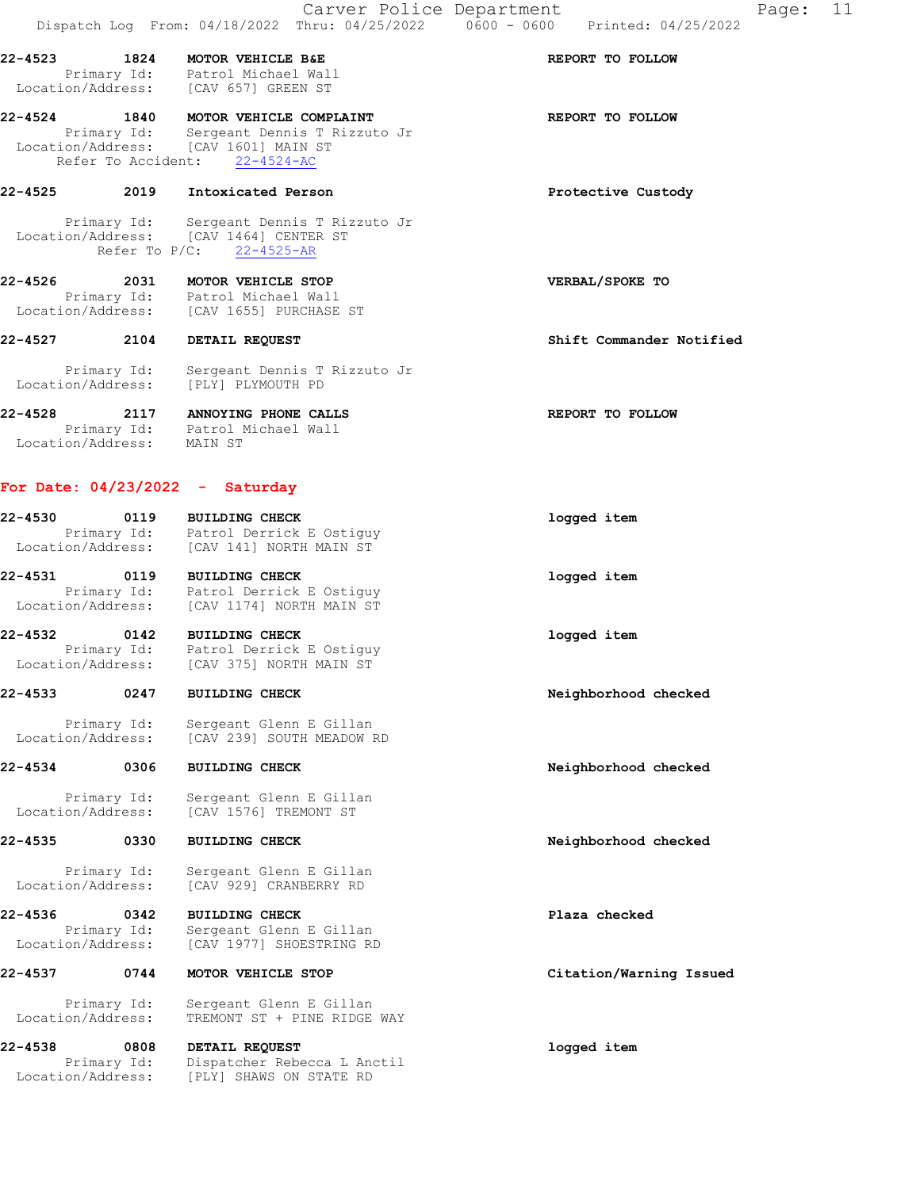22-4523 1824 MOTOR VEHICLE B&E REPORT TO FOLLOW Primary Id: Patrol Michael Wall Location/Address: [CAV 657] GREEN ST

22-4524 1840 MOTOR VEHICLE COMPLAINT **120 REPORT** TO FOLLOW Primary Id: Sergeant Dennis T Rizzuto Jr Location/Address: [CAV 1601] MAIN ST Refer To Accident: 22-4524-AC

### 22-4525 2019 Intoxicated Person Protective Custody

 Primary Id: Sergeant Dennis T Rizzuto Jr Location/Address: [CAV 1464] CENTER ST Refer To P/C: 22-4525-AR

22-4526 2031 MOTOR VEHICLE STOP VERBAL/SPOKE TO Primary Id: Patrol Michael Wall Location/Address: [CAV 1655] PURCHASE ST

22-4527 2104 DETAIL REQUEST Shift Commander Notified

 Primary Id: Sergeant Dennis T Rizzuto Jr Location/Address: [PLY] PLYMOUTH PD

22-4528 2117 ANNOYING PHONE CALLS REPORT TO FOLLOW Primary Id: Patrol Michael Wall Location/Address: MAIN ST

# For Date: 04/23/2022 - Saturday

| 22-4530<br>Location/Address: | 0119<br>Primary Id: | <b>BUILDING CHECK</b><br>Patrol Derrick E Ostiguy<br>[CAV 141] NORTH MAIN ST | logged item |
|------------------------------|---------------------|------------------------------------------------------------------------------|-------------|
| 22-4531                      | 0119                | <b>BUILDING CHECK</b><br>Detect Description Oct (2000)                       | logged item |

 Primary Id: Patrol Derrick E Ostiguy Location/Address: [CAV 1174] NORTH MAIN ST 22-4532 0142 BUILDING CHECK logged item

 Primary Id: Patrol Derrick E Ostiguy Location/Address: [CAV 375] NORTH MAIN ST

# 22-4533 0247 BUILDING CHECK Neighborhood checked

 Primary Id: Sergeant Glenn E Gillan Location/Address: [CAV 239] SOUTH MEADOW RD

22-4534 0306 BUILDING CHECK Neighborhood checked

 Primary Id: Sergeant Glenn E Gillan Location/Address: [CAV 1576] TREMONT ST

## 22-4535 0330 BUILDING CHECK Neighborhood checked

 Primary Id: Sergeant Glenn E Gillan Location/Address: [CAV 929] CRANBERRY RD

22-4536 0342 BUILDING CHECK Plaza checked Primary Id: Sergeant Glenn E Gillan<br>Location/Address: [CAV 1977] SHOESTRING RD [CAV 1977] SHOESTRING RD

22-4537 0744 MOTOR VEHICLE STOP Citation/Warning Issued

 Primary Id: Sergeant Glenn E Gillan Location/Address: TREMONT ST + PINE RIDGE WAY

22-4538 0808 DETAIL REQUEST logged item Primary Id: Dispatcher Rebecca L Anctil Location/Address: [PLY] SHAWS ON STATE RD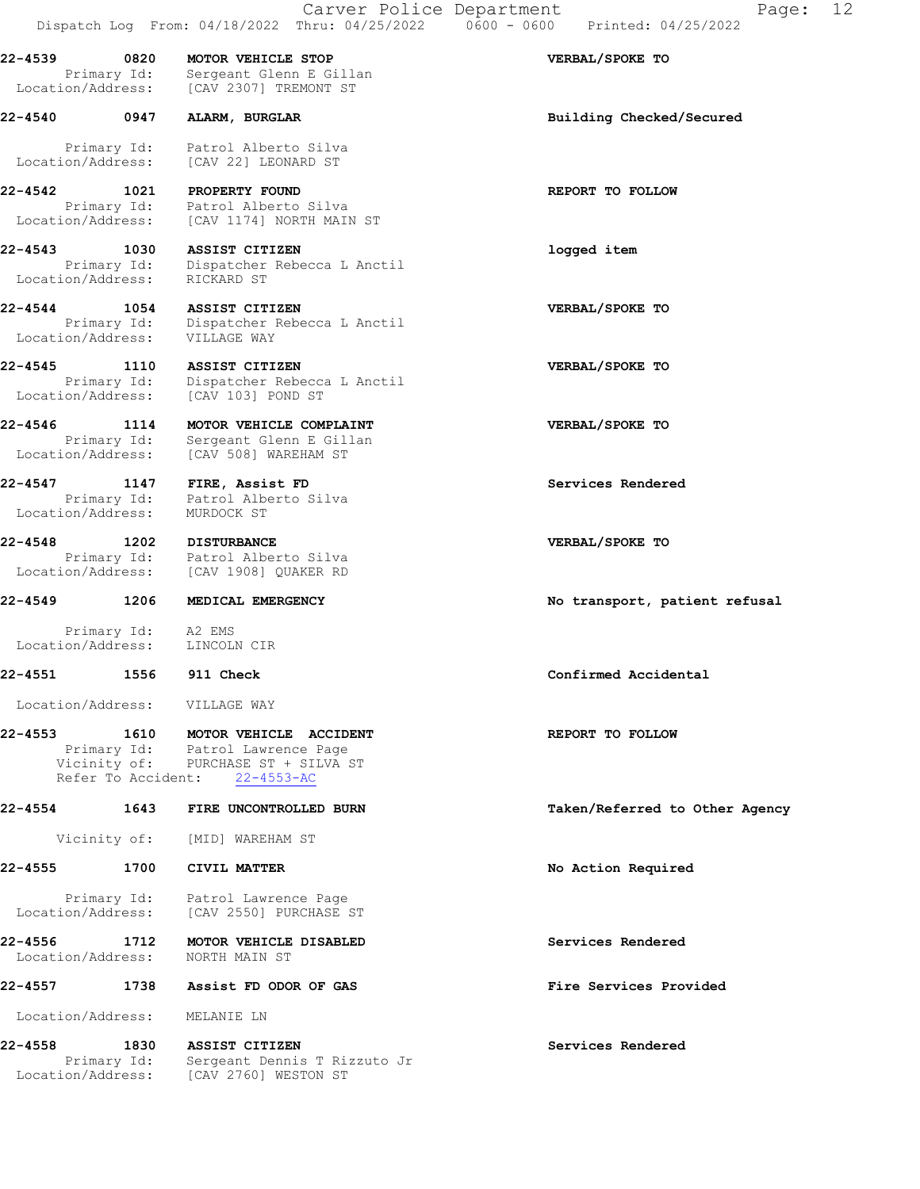22-4539 0820 MOTOR VEHICLE STOP VERBAL/SPOKE TO Primary Id: Sergeant Glenn E Gillan Location/Address: [CAV 2307] TREMONT ST

22-4540 0947 ALARM, BURGLAR Building Checked/Secured

 Primary Id: Patrol Alberto Silva Location/Address: [CAV 22] LEONARD ST

22-4542 1021 PROPERTY FOUND **REPORT TO FOLLOW**  Primary Id: Patrol Alberto Silva Location/Address: [CAV 1174] NORTH MAIN ST

22-4543 1030 ASSIST CITIZEN logged item Primary Id: Dispatcher Rebecca L Anctil Location/Address: RICKARD ST

22-4544 1054 ASSIST CITIZEN VERBAL/SPOKE TO Primary Id: Dispatcher Rebecca L Anctil Location/Address: VILLAGE WAY

22-4545 1110 ASSIST CITIZEN VERBAL/SPOKE TO Primary Id: Dispatcher Rebecca L Anctil Location/Address: [CAV 103] POND ST

22-4546 1114 MOTOR VEHICLE COMPLAINT VERBAL/SPOKE TO Primary Id: Sergeant Glenn E Gillan Location/Address: [CAV 508] WAREHAM ST

22-4547 1147 FIRE, Assist FD Services Rendered Primary Id: Patrol Alberto Silva Location/Address: MURDOCK ST

22-4548 1202 DISTURBANCE VERBAL/SPOKE TO Primary Id: Patrol Alberto Silva Location/Address: [CAV 1908] QUAKER RD

#### 22-4549 1206 MEDICAL EMERGENCY No transport, patient refusal

 Primary Id: A2 EMS Location/Address: LINCOLN CIR

#### 22-4551 1556 911 Check Confirmed Accidental

Location/Address: VILLAGE WAY

## 22-4553 1610 MOTOR VEHICLE ACCIDENT CONSIDERT REPORT TO FOLLOW Primary Id: Patrol Lawrence Page Vicinity of: PURCHASE ST + SILVA ST Refer To Accident: 22-4553-AC

22-4554 1643 FIRE UNCONTROLLED BURN Taken/Referred to Other Agency

Vicinity of: [MID] WAREHAM ST

## 22-4555 1700 CIVIL MATTER No Action Required

 Primary Id: Patrol Lawrence Page Location/Address: [CAV 2550] PURCHASE ST

22-4556 1712 MOTOR VEHICLE DISABLED Subsequent Services Rendered Location/Address: NORTH MAIN ST

# 22-4557 1738 Assist FD ODOR OF GAS Fire Services Provided

Location/Address: MELANIE LN

22-4558 1830 ASSIST CITIZEN Services Rendered Primary Id: Sergeant Dennis T Rizzuto Jr Location/Address: [CAV 2760] WESTON ST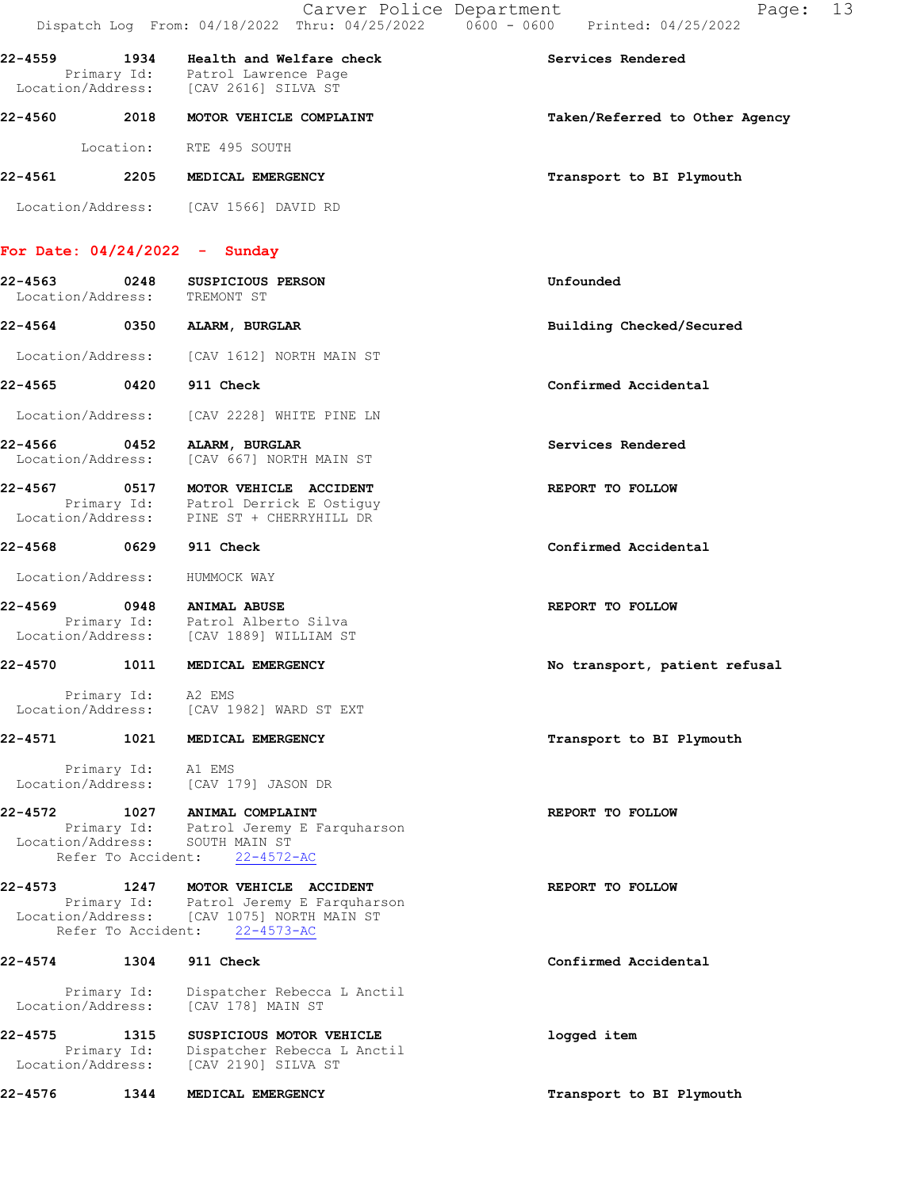|         |                                                                | Carver Police Department                                                                               | 13<br>Page:<br>Dispatch Log From: 04/18/2022 Thru: 04/25/2022 0600 - 0600 Printed: 04/25/2022 |
|---------|----------------------------------------------------------------|--------------------------------------------------------------------------------------------------------|-----------------------------------------------------------------------------------------------|
| 22-4559 | 1934                                                           | Health and Welfare check<br>Primary Id: Patrol Lawrence Page<br>Location/Address: [CAV 2616] SILVA ST  | Services Rendered                                                                             |
|         | 22-4560 2018                                                   | MOTOR VEHICLE COMPLAINT                                                                                | Taken/Referred to Other Agency                                                                |
|         | Location:                                                      | RTE 495 SOUTH                                                                                          |                                                                                               |
| 22-4561 | 2205                                                           | <b>MEDICAL EMERGENCY</b>                                                                               | Transport to BI Plymouth                                                                      |
|         |                                                                | Location/Address: [CAV 1566] DAVID RD                                                                  |                                                                                               |
|         |                                                                | For Date: $04/24/2022 -$ Sunday                                                                        |                                                                                               |
| 22-4563 | 0248<br>Location/Address:                                      | SUSPICIOUS PERSON<br>TREMONT ST                                                                        | Unfounded                                                                                     |
| 22-4564 | 0350                                                           | ALARM, BURGLAR                                                                                         | Building Checked/Secured                                                                      |
|         | Location/Address:                                              | [CAV 1612] NORTH MAIN ST                                                                               |                                                                                               |
| 22-4565 | $\sim$ 0420                                                    | 911 Check                                                                                              | Confirmed Accidental                                                                          |
|         | Location/Address:                                              | [CAV 2228] WHITE PINE LN                                                                               |                                                                                               |
| 22-4566 | 0452<br>Location/Address:                                      | ALARM, BURGLAR<br>[CAV 667] NORTH MAIN ST                                                              | Services Rendered                                                                             |
|         | Location/Address:                                              | 22-4567 0517 MOTOR VEHICLE ACCIDENT<br>Primary Id: Patrol Derrick E Ostiguy<br>PINE ST + CHERRYHILL DR | REPORT TO FOLLOW                                                                              |
|         | 22-4568 0629                                                   | 911 Check                                                                                              | Confirmed Accidental                                                                          |
|         | Location/Address:                                              | HUMMOCK WAY                                                                                            |                                                                                               |
| 22-4569 | 0948                                                           | <b>ANIMAL ABUSE</b><br>Primary Id: Patrol Alberto Silva<br>Location/Address: [CAV 1889] WILLIAM ST     | REPORT TO FOLLOW                                                                              |
| 22-4570 | 1011                                                           | MEDICAL EMERGENCY                                                                                      | No transport, patient refusal                                                                 |
|         | Primary Id: A2 EMS<br>Location/Address:                        | [CAV 1982] WARD ST EXT                                                                                 |                                                                                               |
| 22-4571 | 1021                                                           | MEDICAL EMERGENCY                                                                                      | Transport to BI Plymouth                                                                      |
|         | Primary Id:<br>Location/Address:                               | A1 EMS<br>[CAV 179] JASON DR                                                                           |                                                                                               |
| 22-4572 | 1027<br>Primary Id:<br>Location/Address:                       | ANIMAL COMPLAINT<br>Patrol Jeremy E Farquharson<br>SOUTH MAIN ST                                       | REPORT TO FOLLOW                                                                              |
|         | Refer To Accident:                                             | $22 - 4572 - AC$                                                                                       |                                                                                               |
| 22-4573 | 1247<br>Primary Id:<br>Location/Address:<br>Refer To Accident: | MOTOR VEHICLE ACCIDENT<br>Patrol Jeremy E Farquharson<br>[CAV 1075] NORTH MAIN ST<br>$22 - 4573 - AC$  | REPORT TO FOLLOW                                                                              |
| 22-4574 | 1304                                                           | 911 Check                                                                                              | Confirmed Accidental                                                                          |
|         | Primary Id:<br>Location/Address:                               | Dispatcher Rebecca L Anctil<br>[CAV 178] MAIN ST                                                       |                                                                                               |
| 22-4575 | 1315<br>Primary Id:<br>Location/Address:                       | SUSPICIOUS MOTOR VEHICLE<br>Dispatcher Rebecca L Anctil<br>[CAV 2190] SILVA ST                         | logged item                                                                                   |
| 22-4576 | 1344                                                           | MEDICAL EMERGENCY                                                                                      | Transport to BI Plymouth                                                                      |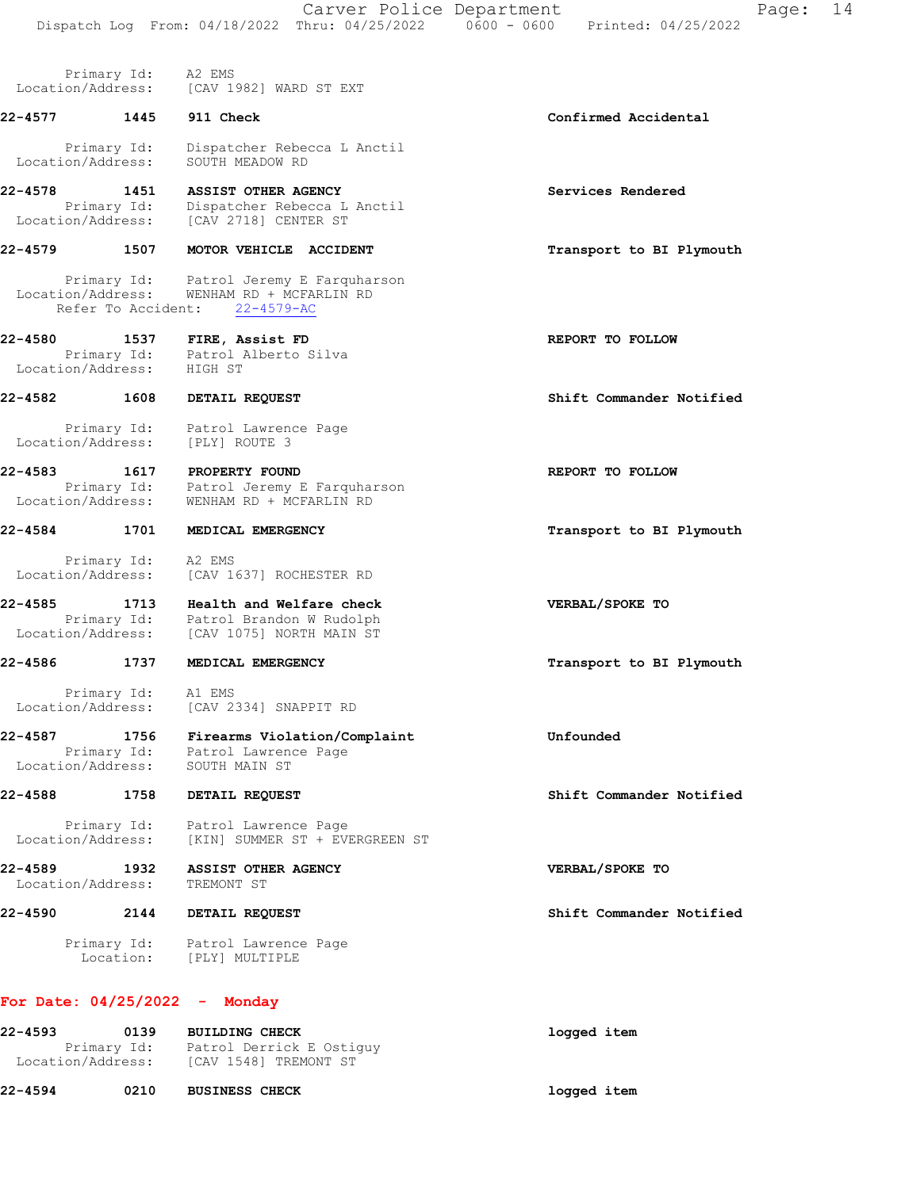Location/Address: [CAV 1982] WARD ST EXT 22-4577 1445 911 Check Confirmed Accidental Primary Id: Dispatcher Rebecca L Anctil Location/Address: SOUTH MEADOW RD 22-4578 1451 ASSIST OTHER AGENCY Services Rendered Primary Id: Dispatcher Rebecca L Anctil Location/Address: [CAV 2718] CENTER ST 22-4579 1507 MOTOR VEHICLE ACCIDENT TEADS Transport to BI Plymouth Primary Id: Patrol Jeremy E Farquharson Location/Address: WENHAM RD + MCFARLIN RD Refer To Accident: 22-4579-AC 22-4580 1537 FIRE, Assist FD **REPORT TO FOLLOW**  Primary Id: Patrol Alberto Silva Location/Address: HIGH ST 22-4582 1608 DETAIL REQUEST Shift Commander Notified Primary Id: Patrol Lawrence Page Location/Address: [PLY] ROUTE 3 22-4583 1617 PROPERTY FOUND REPORT TO FOLLOW Primary Id: Patrol Jeremy E Farquharson Location/Address: WENHAM RD + MCFARLIN RD 22-4584 1701 MEDICAL EMERGENCY 1988 1989 Transport to BI Plymouth Primary Id: A2 EMS Location/Address: [CAV 1637] ROCHESTER RD 22-4585 1713 Health and Welfare check VERBAL/SPOKE TO Primary Id: Patrol Brandon W Rudolph Location/Address: [CAV 1075] NORTH MAIN ST 22-4586 1737 MEDICAL EMERGENCY **1200 1200 1200 1200 1200 1200 1200** Transport to BI Plymouth Primary Id: A1 EMS Location/Address: [CAV 2334] SNAPPIT RD 22-4587 1756 Firearms Violation/Complaint Unfounded Primary Id: Patrol Lawrence Page Location/Address: SOUTH MAIN ST 22-4588 1758 DETAIL REQUEST Shift Commander Notified Primary Id: Patrol Lawrence Page Location/Address: [KIN] SUMMER ST + EVERGREEN ST 22-4589 1932 ASSIST OTHER AGENCY VERBAL/SPOKE TO Location/Address: TREMONT ST 22-4590 2144 DETAIL REQUEST Shift Commander Notified Primary Id: Patrol Lawrence Page

#### For Date: 04/25/2022 - Monday

Location: [PLY] MULTIPLE

Primary Id: A2 EMS

| 22-4593           | 0139        | <b>BUILDING CHECK</b>                             | logged item |
|-------------------|-------------|---------------------------------------------------|-------------|
| Location/Address: | Primary Id: | Patrol Derrick E Ostiquy<br>[CAV 1548] TREMONT ST |             |

22-4594 0210 BUSINESS CHECK logged item